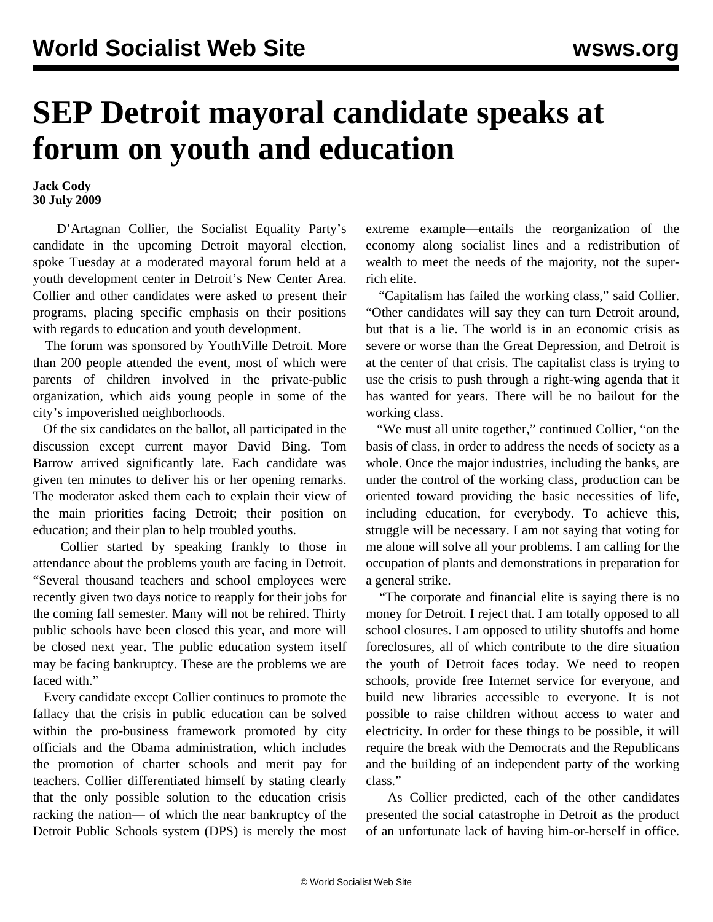## **SEP Detroit mayoral candidate speaks at forum on youth and education**

**Jack Cody 30 July 2009**

 D'Artagnan Collier, the Socialist Equality Party's candidate in the upcoming Detroit mayoral election, spoke Tuesday at a moderated mayoral forum held at a youth development center in Detroit's New Center Area. Collier and other candidates were asked to present their programs, placing specific emphasis on their positions with regards to education and youth development.

 The forum was sponsored by YouthVille Detroit. More than 200 people attended the event, most of which were parents of children involved in the private-public organization, which aids young people in some of the city's impoverished neighborhoods.

 Of the six candidates on the ballot, all participated in the discussion except current mayor David Bing. Tom Barrow arrived significantly late. Each candidate was given ten minutes to deliver his or her opening remarks. The moderator asked them each to explain their view of the main priorities facing Detroit; their position on education; and their plan to help troubled youths.

 Collier started by speaking frankly to those in attendance about the problems youth are facing in Detroit. "Several thousand teachers and school employees were recently given two days notice to reapply for their jobs for the coming fall semester. Many will not be rehired. Thirty public schools have been closed this year, and more will be closed next year. The public education system itself may be facing bankruptcy. These are the problems we are faced with."

 Every candidate except Collier continues to promote the fallacy that the crisis in public education can be solved within the pro-business framework promoted by city officials and the Obama administration, which includes the promotion of charter schools and merit pay for teachers. Collier differentiated himself by stating clearly that the only possible solution to the education crisis racking the nation— of which the near bankruptcy of the Detroit Public Schools system (DPS) is merely the most

extreme example—entails the reorganization of the economy along socialist lines and a redistribution of wealth to meet the needs of the majority, not the superrich elite.

 "Capitalism has failed the working class," said Collier. "Other candidates will say they can turn Detroit around, but that is a lie. The world is in an economic crisis as severe or worse than the Great Depression, and Detroit is at the center of that crisis. The capitalist class is trying to use the crisis to push through a right-wing agenda that it has wanted for years. There will be no bailout for the working class.

 "We must all unite together," continued Collier, "on the basis of class, in order to address the needs of society as a whole. Once the major industries, including the banks, are under the control of the working class, production can be oriented toward providing the basic necessities of life, including education, for everybody. To achieve this, struggle will be necessary. I am not saying that voting for me alone will solve all your problems. I am calling for the occupation of plants and demonstrations in preparation for a general strike.

 "The corporate and financial elite is saying there is no money for Detroit. I reject that. I am totally opposed to all school closures. I am opposed to utility shutoffs and home foreclosures, all of which contribute to the dire situation the youth of Detroit faces today. We need to reopen schools, provide free Internet service for everyone, and build new libraries accessible to everyone. It is not possible to raise children without access to water and electricity. In order for these things to be possible, it will require the break with the Democrats and the Republicans and the building of an independent party of the working class."

 As Collier predicted, each of the other candidates presented the social catastrophe in Detroit as the product of an unfortunate lack of having him-or-herself in office.